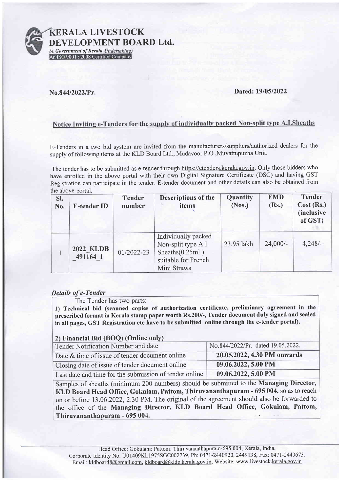

ERALA LIVESTOCK DEVELOPMENT BOARD Ltd.

(A Government of Kerala Undertaking)<br>An ISO 9001 : 2008 Certified Company

### No.844/2022/Pr. Dated: 19/05/2022

# Notice Inviting e-Tenders for the supply of individually packed Non-split type A.I.Sheaths

E-Tenders in a two bid system are invited from the manufacturers/suppliers/authorized dealers for the supply of following items at the KLD Board Ltd., Mudavoor P.O ,Muvattupuzha Unit.

The tender has to be submitted as e-tender through https://etenders.kerala.gov.in. Only those bidders who have enrolled in the above portal with their own Digital Signature Certificate (DSC) and having GST Registration can participate in the tender. E-tender document and other details can also be obtained from the above portal.

| SI.<br>No. | <b>E-tender ID</b>           | <b>Tender</b><br>number | <b>Descriptions of the</b><br>items                                                                    | Quantity<br>(Nos.) | <b>EMD</b><br>(Rs.) | <b>Tender</b><br>Cost (Rs.)<br><i>(inclusive)</i><br>of GST) |
|------------|------------------------------|-------------------------|--------------------------------------------------------------------------------------------------------|--------------------|---------------------|--------------------------------------------------------------|
|            | <b>2022 KLDB</b><br>491164 1 | 01/2022-23              | Individually packed<br>Non-split type A.I.<br>Sheaths (0.25 ml.)<br>suitable for French<br>Mini Straws | 23.95 lakh         | $24,000/-$          | $4,248/-$                                                    |

## Details of e-Tender

The Tender has two parts:

1) Technical bid (scanned copies of authorization certificate, preliminary agreement in the prescribed format in Kerala stamp paper worth Rs.200/-, Tender document duly signed and sealed in all pages, GST Registration etc have to be submitted online through the e-tender portal).

## 2) Financial Bid (BOQ) (Online only)

| Tender Notification Number and date                    | No.844/2022/Pr. dated 19.05.2022. |
|--------------------------------------------------------|-----------------------------------|
| Date & time of issue of tender document online         | 20.05.2022, 4.30 PM onwards       |
| Closing date of issue of tender document online        | 09.06.2022, 5.00 PM               |
| Last date and time for the submission of tender online | 09.06.2022, 5.00 PM               |

Samples of sheaths (minimum 200 numbers) should be submitted to the Managing Director, KLD Board Head Office, Gokulam, Pattom, Thiruvananthapuram - 695 004, so as to reach on or before 13.06.2022, 2.30 PM. The original of the agreement should also be forwarded to the office of the Managing Director, KLD Board Head Office, Gokulam, Pattom, Thiruvananthapuram - 695 004.